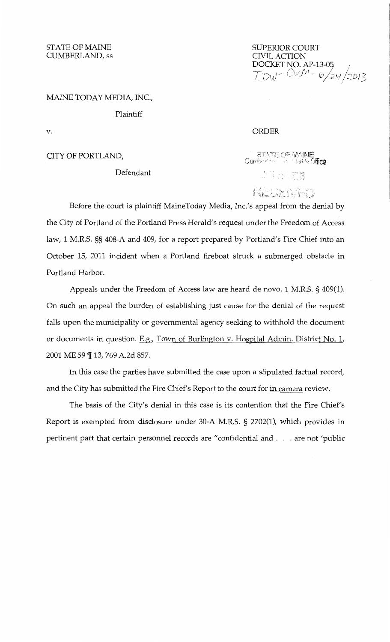STATE OF MAINE CUMBERLAND, ss

SUPERIOR COURT CIVIL ACTION DOCKET NO. AP-13-05  $\frac{1}{2}$ TIJ~;J-~ Cvtfit1- 0 *I* ;;~-l/::DJ3

#### MAINE TODAY MEDIA, INC.,

Plaintiff

v.

## CITY OF PORTLAND,

## Defendant

#### ORDER

STATE OF MAINE

RECENTD

. , , .

Before the court is plaintiff MaineToday Media, Inc.'s appeal from the denial by the City of Portland of the Portland Press Herald's request under the Freedom of Access law, 1 M.R.S. §§ 408-A and 409, for a report prepared by Portland's Fire Chief into an October 15, 2011 incident when a Portland fireboat struck a submerged obstacle in Portland Harbor.

Appeals under the Freedom of Access law are heard de novo. 1 M.R.S. § 409(1). On such an appeal the burden of establishing just cause for the denial of the request falls upon the municipality or governmental agency seeking to withhold the document or documents in question. E.g., Town of Burlington v. Hospital Admin. District No. 1, 2001 ME 59 ¶ 13, 769 A.2d 857.

In this case the parties have submitted the case upon a stipulated factual record, and the City has submitted the Fire Chief's Report to the court for in camera review.

The basis of the City's denial in this case is its contention that the Fire Chief's Report is exempted from disclosure under 30-A M.R.S. § 2702(1), which provides in pertinent part that certain personnel records are "confidential and ... are not 'public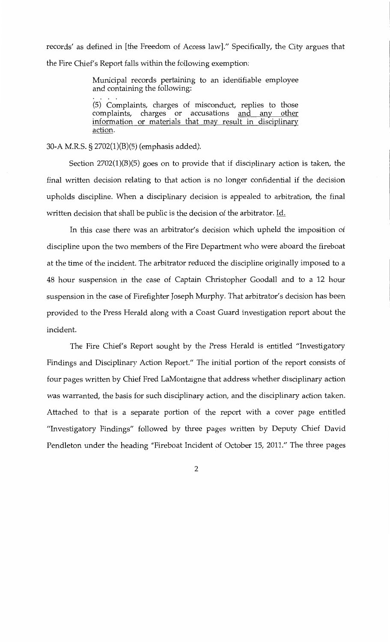records' as defined in [the Freedom of Access law]." Specifically, the City argues that the Fire Chief's Report falls within the following exemption:

> Municipal records pertaining to an identifiable employee and containing the following:

> (5) Complaints, charges of misconduct, replies to those complaints, charges or accusations and any other information or materials that may result in disciplinary action.

30-A M.R.S. § 2702(1)(B)(5) (emphasis added).

Section 2702(1)(B)(5) goes on to provide that if disciplinary action is taken, the final written decision relating to that action is no longer confidential if the decision upholds discipline. When a disciplinary decision is appealed to arbitration, the final written decision that shall be public is the decision of the arbitrator. Id.

In this case there was an arbitrator's decision which upheld the imposition of discipline upon the two members of the Fire Department who were aboard the fireboat at the time of the incident. The arbitrator reduced the discipline originally imposed to a 48 hour suspension in the case of Captain Christopher Goodall and to a 12 hour suspension in the case of Firefighter Joseph Murphy. That arbitrator's decision has been provided to the Press Herald along with a Coast Guard investigation report about the incident.

The Fire Chief's Report sought by the Press Herald is entitled "Investigatory Findings and Disciplinary Action Report." The initial portion of the report consists of four pages written by Chief Fred LaMontaigne that address whether disciplinary action was warranted, the basis for such disciplinary action, and the disciplinary action taken. Attached to that is a separate portion of the report with a cover page entitled "Investigatory Findings" followed by three pages written by Deputy Chief David Pendleton under the heading "Fireboat Incident of October 15, 2011." The three pages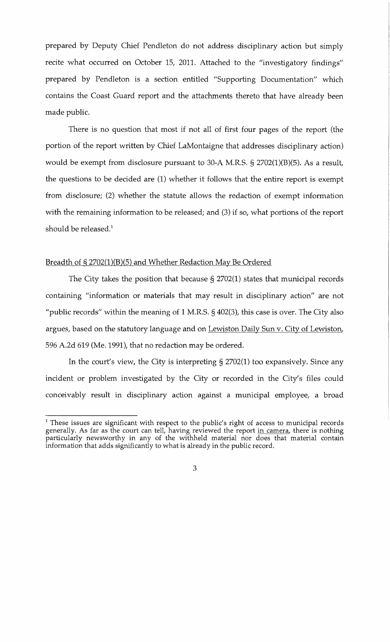prepared by Deputy Chief Pendleton do not address disciplinary action but simply recite what occurred on October 15, 2011. Attached to the "investigatory findings" prepared by Pendleton is a section entitled "Supporting Documentation" which contains the Coast Guard report and the attachments thereto that have already been made public.

There is no question that most if not all of first four pages of the report (the portion of the report written by Chief LaMontaigne that addresses disciplinary action) would be exempt from disclosure pursuant to 30-A M.R.S. § 2702(1)(B)(5). As a result, the questions to be decided are (1) whether it follows that the entire report is exempt from disclosure; (2) whether the statute allows the redaction of exempt information with the remaining information to be released; and (3) if so, what portions of the report should be released.<sup>1</sup>

## Breadth of § 2702(1)(B)(5) and Whether Redaction May Be Ordered

The City takes the position that because § 2702(1) states that municipal records containing "information or materials that may result in disciplinary action" are not "public records" within the meaning of  $1$  M.R.S.  $\S$  402(3), this case is over. The City also argues, based on the statutory language and on Lewiston Daily Sun v. City of Lewiston, 596 A.2d 619 (Me. 1991), that no redaction may be ordered.

In the court's view, the City is interpreting§ 2702(1) too expansively. Since any incident or problem investigated by the City or recorded in the City's files could conceivably result in disciplinary action against a municipal employee, a broad

 $<sup>1</sup>$  These issues are significant with respect to the public's right of access to municipal records</sup> generally. As far as the court can tell, having reviewed the report in camera, there is nothing particularly newsworthy in any of the withheld material nor does that material contain information that adds significantly to what is already in the public record.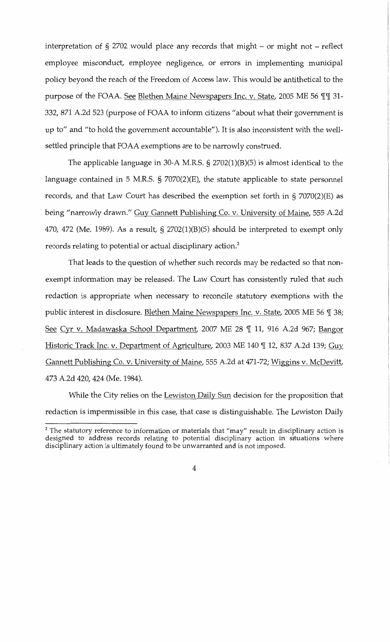interpretation of  $\S 2702$  would place any records that might - or might not - reflect employee misconduct, employee negligence, or errors in implementing municipal policy beyond the reach of the Freedom of Access law. This would be antithetical to the purpose of the FOAA. See Blethen Maine Newspapers Inc. v. State, 2005 ME 56  $\P$  \[ 31-332, 871 A.2d 523 (purpose of FOAA to inform citizens "about what their government is up to" and "to hold the government accountable"). It is also inconsistent with the wellsettled principle that FOAA exemptions are to be narrowly construed.

The applicable language in 30-A M.R.S. § 2702(1)(B)(5) is almost identical to the language contained in 5 M.R.S. § 7070(2)(E), the statute applicable to state personnel records, and that Law Court has described the exemption set forth in § 7070(2)(E) as being "narrowly drawn." Guy Gannett Publishing Co. v. University of Maine, 555 A.2d 470, 472 (Me. 1989). As a result,  $\S$  2702(1)(B)(5) should be interpreted to exempt only records relating to potential or actual disciplinary action.<sup>2</sup>

That leads to the question of whether such records may be redacted so that nonexempt information may be released. The Law Court has consistently ruled that such redaction is appropriate when necessary to reconcile statutory exemptions with the public interest in disclosure. Blethen Maine Newspapers Inc. v. State, 2005 ME 56 [ 38; See Cyr v. Madawaska School Department, 2007 ME 28 [ 11, 916 A.2d 967; Bangor Historic Track Inc. v. Department of Agriculture, 2003 ME 140 ¶ 12, 837 A.2d 139; Guy Gannett Publishing Co. v. University of Maine, 555 A.2d at 471-72; Wiggins v. McDevitt, 473 A.2d 420, 424 (Me. 1984).

While the City relies on the Lewiston Daily Sun decision for the proposition that redaction is impermissible in this case, that case is distinguishable. The Lewiston Daily

 $2$  The statutory reference to information or materials that "may" result in disciplinary action is designed to address records relating to potential disciplinary action in situations where disciplinary action is ultimately found to be unwarranted and is not imposed.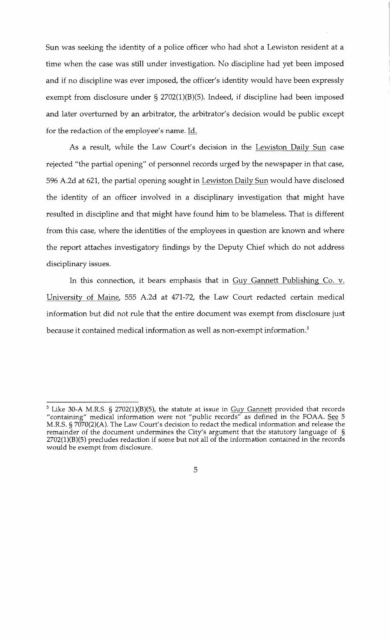Sun was seeking the identity of a police officer who had shot a Lewiston resident at a time when the case was still under investigation. No discipline had yet been imposed and if no discipline was ever imposed, the officer's identity would have been expressly exempt from disclosure under § 2702(1)(B)(5). Indeed, if discipline had been imposed and later overturned by an arbitrator, the arbitrator's decision would be public except for the redaction of the employee's name. Id.

As a result, while the Law Court's decision in the Lewiston Daily Sun case rejected "the partial opening" of personnel records urged by the newspaper in that case, 596 A.2d at 621, the partial opening sought in Lewiston Daily Sun would have disclosed the identity of an officer involved in a disciplinary investigation that might have resulted in discipline and that might have found him to be blameless. That is different from this case, where the identities of the employees in question are known and where the report attaches investigatory findings by the Deputy Chief which do not address disciplinary issues.

In this connection, it bears emphasis that in Guy Gannett Publishing Co. v. University of Maine, 555 A.2d at 471-72, the Law Court redacted certain medical information but did not rule that the entire document was exempt from disclosure just because it contained medical information as well as non-exempt information.<sup>3</sup>

 $3$  Like 30-A M.R.S. § 2702(1)(B)(5), the statute at issue in  $Guy$  Gannett provided that records "containing" medical information were not "public records" as defined in the FOAA. See 5 M.R.S. § 7070(2)(A). The Law Court's decision to redact the medical information and release the remainder of the document undermines the City's argument that the statutory language of § 2702(1)(B)(5) precludes redaction if some but not all of the information contained in the records would be exempt from disclosure.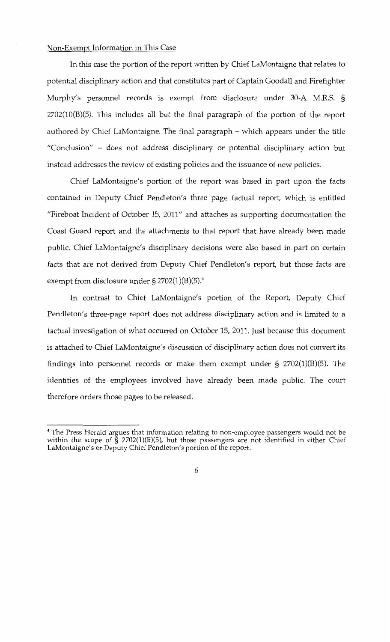# Non-Exempt Information in This Case

In this case the portion of the report written by Chief LaMontaigne that relates to potential disciplinary action and that constitutes part of Captain Goodall and Firefighter Murphy's personnel records is exempt from disclosure under 30-A M.R.S. § 2702(10(B)(5). This includes all but the final paragraph of the portion of the report authored by Chief LaMontaigne. The final paragraph- which appears under the title "Conclusion" - does not address disciplinary or potential disciplinary action but instead addresses the review of existing policies and the issuance of new policies.

Chief LaMontaigne's portion of the report was based in part upon the facts contained in Deputy Chief Pendleton's three page factual report, which is entitled "Fireboat Incident of October 15, 2011" and attaches as supporting documentation the Coast Guard report and the attachments to that report that have already been made public. Chief LaMontaigne's disciplinary decisions were also based in part on certain facts that are not derived from Deputy Chief Pendleton's report, but those facts are exempt from disclosure under  $\S 2702(1)(B)(5).4$ 

In contrast to Chief LaMontaigne's portion of the Report, Deputy Chief Pendleton's three-page report does not address disciplinary action and is limited to a factual investigation of what occurred on October 15, 2011. Just because this document is attached to Chief LaMontaigne's discussion of disciplinary action does not convert its findings into personnel records or make them exempt under § 2702(1)(B)(5). The identities of the employees involved have already been made public. The court therefore orders those pages to be released.

<sup>4</sup> The Press Herald argues that information relating to non-employee passengers would not be within the scope of  $\tilde{S}$  2702(1)(B)(5), but those passengers are not identified in either Chief LaMontaigne's or Deputy Chief Pendleton's portion of the report.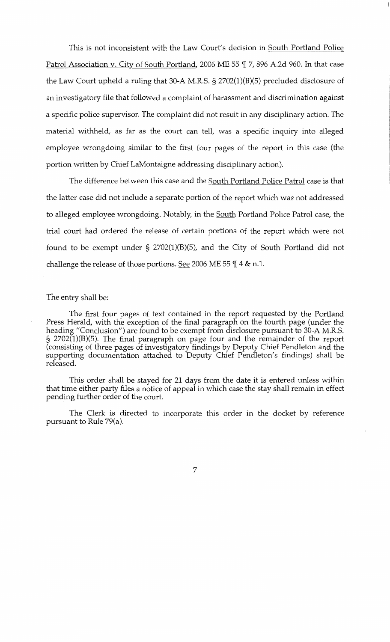This is not inconsistent with the Law Court's decision in South Portland Police Patrol Association v. City of South Portland, 2006 ME 55  $\parallel$  7, 896 A.2d 960. In that case the Law Court upheld a ruling that 30-A M.R.S. § 2702(1)(B)(5) precluded disclosure of an investigatory file that followed a complaint of harassment and discrimination against a specific police supervisor. The complaint did not result in any disciplinary action. The material withheld, as far as the court can tell, was a specific inquiry into alleged employee wrongdoing similar to the first four pages of the report in this case (the portion written by Chief LaMontaigne addressing disciplinary action).

The difference between this case and the South Portland Police Patrol case is that the latter case did not include a separate portion of the report which was not addressed to alleged employee wrongdoing. Notably, in the South Portland Police Patrol case, the trial court had ordered the release of certain portions of the report which were not found to be exempt under § 2702(1)(B)(5), and the City of South Portland did not challenge the release of those portions. See 2006 ME 55  $\frac{m}{4}$  & n.1.

### The entry shall be:

The first four pages of text contained in the report requested by the Portland Press Herald, with the exception of the final paragraph on the fourth page (under the heading "Conclusion") are found to be exempt from disclosure pursuant to 30-A M.R.S. § 2702(1)(B)(5). The final paragraph on page four and the remainder of the report (consisting of three pages of investigatory findings by Deputy Chief Pendleton and the supporting documentation attached to Deputy Chief Pendleton's findings) shall be released.

This order shall be stayed for 21 days from the date it is entered unless within that time either party files a notice of appeal in which case the stay shall remain in effect pending further order of the court.

The Clerk is directed to incorporate this order in the docket by reference pursuant to Rule 79(a).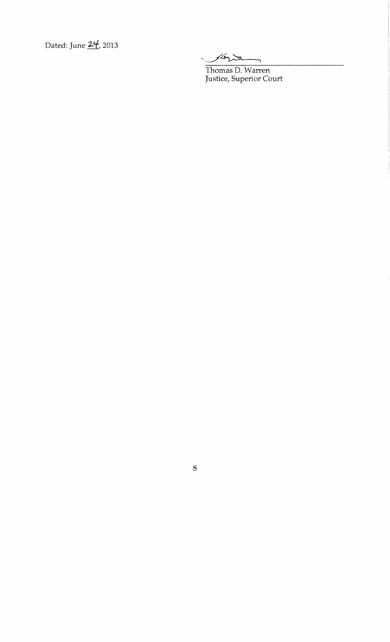Dated: June  $24/2013$ 

Hord

Thomas D. Warren Justice, Superior Court